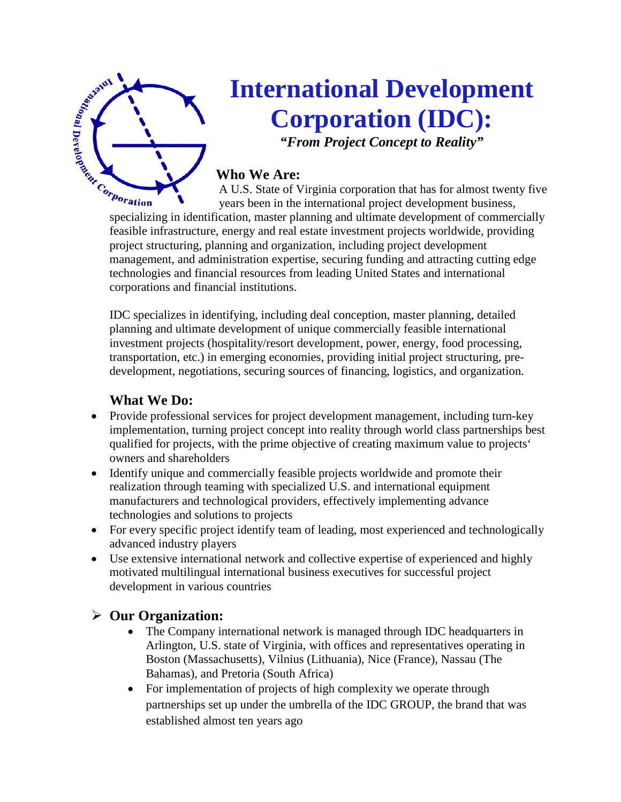

# **International Development Corporation (IDC): Example 2011 Corporation (IDC):**<br> **Corporation (IDC):**<br> **Corporation (IDC):**<br> **Corporation (IDC):**<br>
Who We Are:<br>
A U.S. State of Virginia corporation that has for almost twenty five<br>
specializing in identification, master

*"From Project Concept to Reality"*

## **Who We Are:**

A U.S. State of Virginia corporation that has for almost twenty five years been in the international project development business,

feasible infrastructure, energy and real estate investment projects worldwide, providing project structuring, planning and organization, including project development management, and administration expertise, securing funding and attracting cutting edge technologies and financial resources from leading United States and international corporations and financial institutions.

IDC specializes in identifying, including deal conception, master planning, detailed planning and ultimate development of unique commercially feasible international investment projects (hospitality/resort development, power, energy, food processing, transportation, etc.) in emerging economies, providing initial project structuring, predevelopment, negotiations, securing sources of financing, logistics, and organization.

## **What We Do:**

- Provide professional services for project development management, including turn-key implementation, turning project concept into reality through world class partnerships best qualified for projects, with the prime objective of creating maximum value to projects' owners and shareholders
- Identify unique and commercially feasible projects worldwide and promote their realization through teaming with specialized U.S. and international equipment manufacturers and technological providers, effectively implementing advance technologies and solutions to projects
- For every specific project identify team of leading, most experienced and technologically advanced industry players
- Use extensive international network and collective expertise of experienced and highly motivated multilingual international business executives for successful project development in various countries

## **Our Organization:**

- The Company international network is managed through IDC headquarters in Arlington, U.S. state of Virginia, with offices and representatives operating in Boston (Massachusetts), Vilnius (Lithuania), Nice (France), Nassau (The Bahamas), and Pretoria (South Africa)
- For implementation of projects of high complexity we operate through partnerships set up under the umbrella of the IDC GROUP, the brand that was established almost ten years ago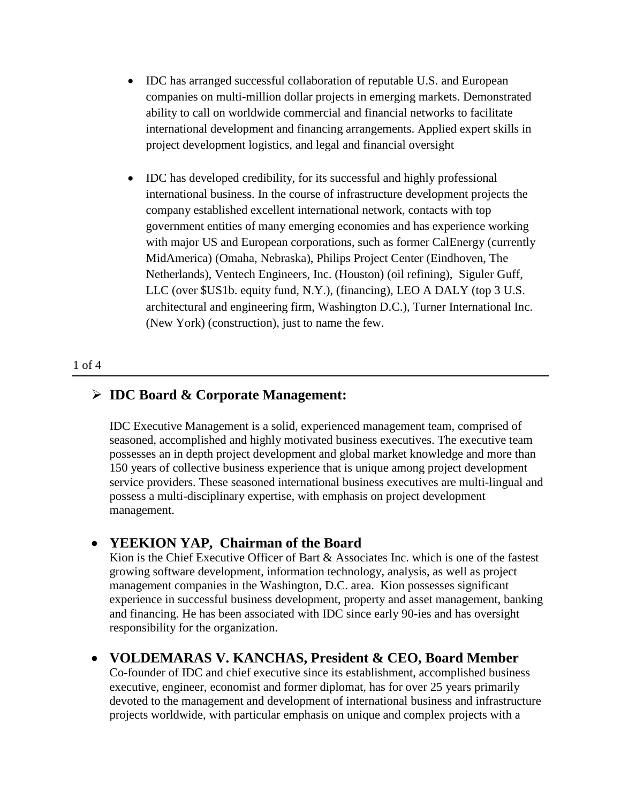- IDC has arranged successful collaboration of reputable U.S. and European companies on multi-million dollar projects in emerging markets. Demonstrated ability to call on worldwide commercial and financial networks to facilitate international development and financing arrangements. Applied expert skills in project development logistics, and legal and financial oversight
- IDC has developed credibility, for its successful and highly professional international business. In the course of infrastructure development projects the company established excellent international network, contacts with top government entities of many emerging economies and has experience working with major US and European corporations, such as former CalEnergy (currently MidAmerica) (Omaha, Nebraska), Philips Project Center (Eindhoven, The Netherlands), Ventech Engineers, Inc. (Houston) (oil refining), Siguler Guff, LLC (over \$US1b. equity fund, N.Y.), (financing), LEO A DALY (top 3 U.S. architectural and engineering firm, Washington D.C.), Turner International Inc. (New York) (construction), just to name the few.

#### 1 of 4

#### **IDC Board & Corporate Management:**

IDC Executive Management is a solid, experienced management team, comprised of seasoned, accomplished and highly motivated business executives. The executive team possesses an in depth project development and global market knowledge and more than 150 years of collective business experience that is unique among project development service providers. These seasoned international business executives are multi-lingual and possess a multi-disciplinary expertise, with emphasis on project development management.

#### • **YEEKION YAP, Chairman of the Board**

Kion is the Chief Executive Officer of Bart  $\&$  Associates Inc. which is one of the fastest growing software development, information technology, analysis, as well as project management companies in the Washington, D.C. area. Kion possesses significant experience in successful business development, property and asset management, banking and financing. He has been associated with IDC since early 90-ies and has oversight responsibility for the organization.

#### • **VOLDEMARAS V. KANCHAS, President & CEO, Board Member**

Co-founder of IDC and chief executive since its establishment, accomplished business executive, engineer, economist and former diplomat, has for over 25 years primarily devoted to the management and development of international business and infrastructure projects worldwide, with particular emphasis on unique and complex projects with a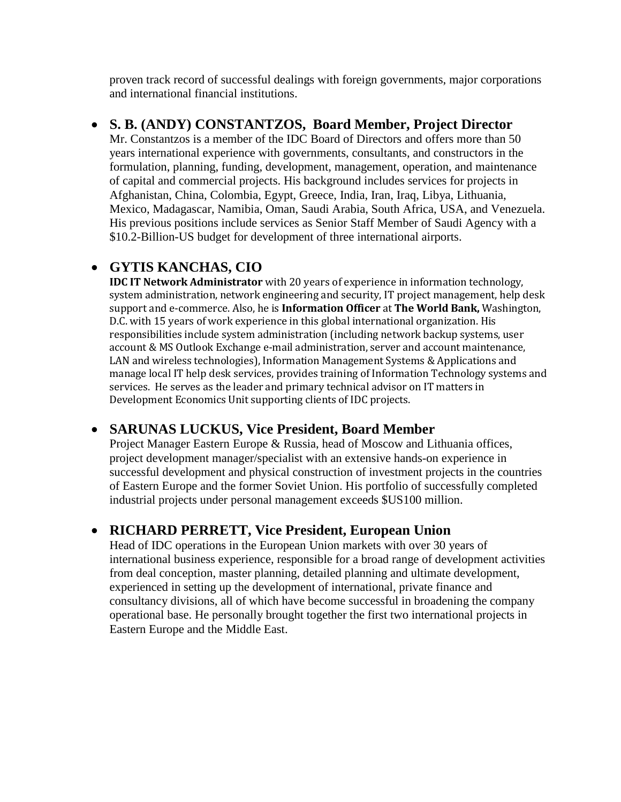proven track record of successful dealings with foreign governments, major corporations and international financial institutions.

## • **S. B. (ANDY) CONSTANTZOS, Board Member, Project Director**

Mr. Constantzos is a member of the IDC Board of Directors and offers more than 50 years international experience with governments, consultants, and constructors in the formulation, planning, funding, development, management, operation, and maintenance of capital and commercial projects. His background includes services for projects in Afghanistan, China, Colombia, Egypt, Greece, India, Iran, Iraq, Libya, Lithuania, Mexico, Madagascar, Namibia, Oman, Saudi Arabia, South Africa, USA, and Venezuela. His previous positions include services as Senior Staff Member of Saudi Agency with a \$10.2-Billion-US budget for development of three international airports.

## • **GYTIS KANCHAS, CIO**

**IDC IT Network Administrator** with 20 years of experience in information technology, system administration, network engineering and security, IT project management, help desk support and e-commerce. Also, he is **Information Officer** at **The World Bank,** Washington, D.C. with 15 years of work experience in this global international organization. His responsibilities include system administration (including network backup systems, user account & MS Outlook Exchange e-mail administration, server and account maintenance, LAN and wireless technologies), Information Management Systems & Applications and manage local IT help desk services, provides training of Information Technology systems and services. He serves as the leader and primary technical advisor on IT matters in Development Economics Unit supporting clients of IDC projects.

## • **SARUNAS LUCKUS, Vice President, Board Member**

Project Manager Eastern Europe & Russia, head of Moscow and Lithuania offices, project development manager/specialist with an extensive hands-on experience in successful development and physical construction of investment projects in the countries of Eastern Europe and the former Soviet Union. His portfolio of successfully completed industrial projects under personal management exceeds \$US100 million.

## • **RICHARD PERRETT, Vice President, European Union**

Head of IDC operations in the European Union markets with over 30 years of international business experience, responsible for a broad range of development activities from deal conception, master planning, detailed planning and ultimate development, experienced in setting up the development of international, private finance and consultancy divisions, all of which have become successful in broadening the company operational base. He personally brought together the first two international projects in Eastern Europe and the Middle East.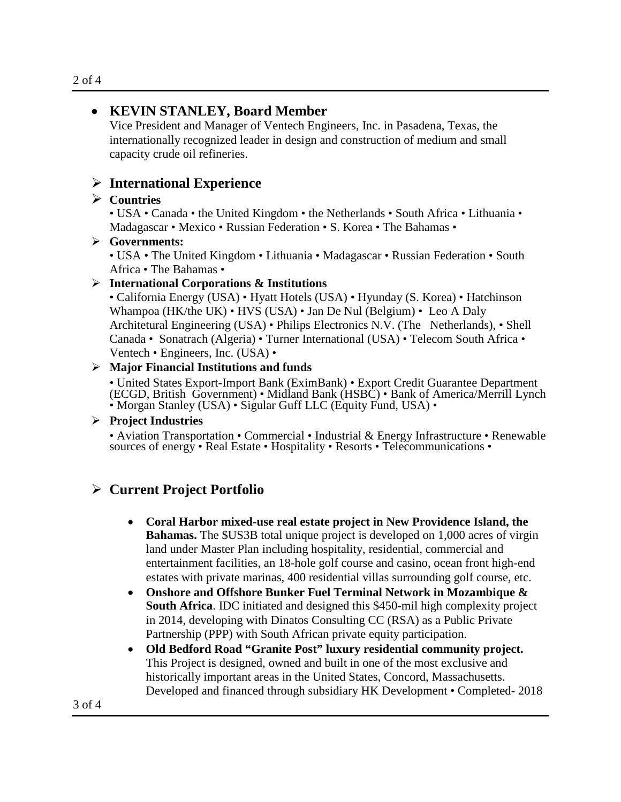## • **KEVIN STANLEY, Board Member**

Vice President and Manager of Ventech Engineers, Inc. in Pasadena, Texas, the internationally recognized leader in design and construction of medium and small capacity crude oil refineries.

## **International Experience**

#### **Countries**

• USA • Canada • the United Kingdom • the Netherlands • South Africa • Lithuania • Madagascar • Mexico • Russian Federation • S. Korea • The Bahamas •

#### **Governments:**

• USA • The United Kingdom • Lithuania • Madagascar • Russian Federation • South Africa • The Bahamas •

#### **International Corporations & Institutions**

• California Energy (USA) • Hyatt Hotels (USA) • Hyunday (S. Korea) • Hatchinson Whampoa (HK/the UK) • HVS (USA) • Jan De Nul (Belgium) • Leo A Daly Architetural Engineering (USA) • Philips Electronics N.V. (The Netherlands), • Shell Canada • Sonatrach (Algeria) • Turner International (USA) • Telecom South Africa • Ventech • Engineers, Inc. (USA) •

#### **Major Financial Institutions and funds**

• United States Export-Import Bank (EximBank) • Export Credit Guarantee Department (ECGD, British Government) • Midland Bank (HSBC) • Bank of America/Merrill Lynch • Morgan Stanley (USA) • Sigular Guff LLC (Equity Fund, USA) •

#### **Project Industries**

• Aviation Transportation • Commercial • Industrial & Energy Infrastructure • Renewable sources of energy • Real Estate • Hospitality • Resorts • Telecommunications •

## **Current Project Portfolio**

- **Coral Harbor mixed-use real estate project in New Providence Island, the Bahamas.** The \$US3B total unique project is developed on 1,000 acres of virgin land under Master Plan including hospitality, residential, commercial and entertainment facilities, an 18-hole golf course and casino, ocean front high-end estates with private marinas, 400 residential villas surrounding golf course, etc.
- **Onshore and Offshore Bunker Fuel Terminal Network in Mozambique & South Africa**. IDC initiated and designed this \$450-mil high complexity project in 2014, developing with Dinatos Consulting CC (RSA) as a Public Private Partnership (PPP) with South African private equity participation.
- **Old Bedford Road "Granite Post" luxury residential community project.**  This Project is designed, owned and built in one of the most exclusive and historically important areas in the United States, Concord, Massachusetts. Developed and financed through subsidiary HK Development • Completed- 2018